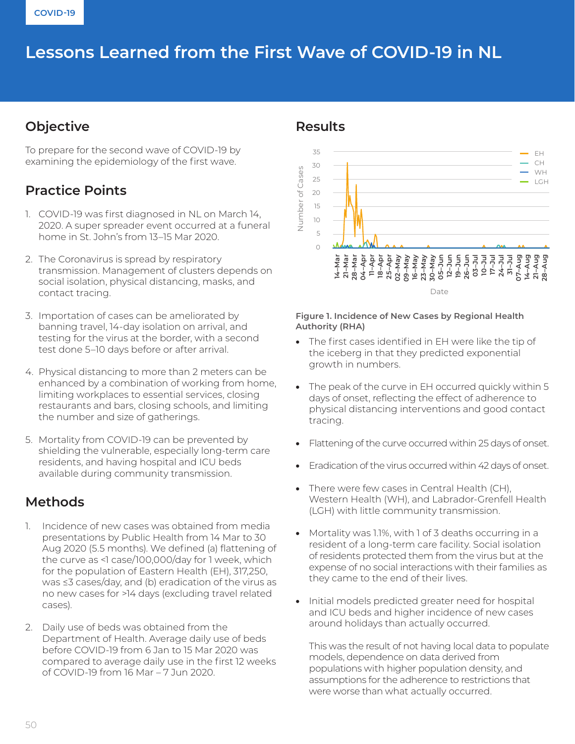# Lessons Learned from the First Wave of COVID-19 in NL

## **Objective**

To prepare for the second wave of COVID-19 by examining the epidemiology of the first wave.

# **Practice Points**

- 1. COVID-19 was first diagnosed in NL on March 14, 2020. A super spreader event occurred at a funeral home in St. John's from 13–15 Mar 2020.
- 2. The Coronavirus is spread by respiratory transmission. Management of clusters depends on social isolation, physical distancing, masks, and contact tracing.
- 3. Importation of cases can be ameliorated by banning travel, 14-day isolation on arrival, and testing for the virus at the border, with a second test done 5–10 days before or after arrival.
- 4. Physical distancing to more than 2 meters can be enhanced by a combination of working from home, limiting workplaces to essential services, closing restaurants and bars, closing schools, and limiting the number and size of gatherings.
- 5. Mortality from COVID-19 can be prevented by shielding the vulnerable, especially long-term care residents, and having hospital and ICU beds available during community transmission.

## **Methods**

- 1. Incidence of new cases was obtained from media presentations by Public Health from 14 Mar to 30 Aug 2020 (5.5 months). We defined (a) flattening of the curve as <1 case/100,000/day for 1 week, which for the population of Eastern Health (EH), 317,250, was ≤3 cases/day, and (b) eradication of the virus as no new cases for >14 days (excluding travel related cases).
- 2. Daily use of beds was obtained from the Department of Health. Average daily use of beds before COVID-19 from 6 Jan to 15 Mar 2020 was compared to average daily use in the first 12 weeks of COVID-19 from 16 Mar – 7 Jun 2020.

#### **Results**



#### **Figure 1. Incidence of New Cases by Regional Health Authority (RHA)**

- The first cases identified in EH were like the tip of the iceberg in that they predicted exponential growth in numbers.
- The peak of the curve in EH occurred quickly within 5 days of onset, reflecting the effect of adherence to physical distancing interventions and good contact tracing.
- Flattening of the curve occurred within 25 days of onset.
- Eradication of the virus occurred within 42 days of onset.
- There were few cases in Central Health (CH), Western Health (WH), and Labrador-Grenfell Health (LGH) with little community transmission.
- Mortality was 1.1%, with 1 of 3 deaths occurring in a resident of a long-term care facility. Social isolation of residents protected them from the virus but at the expense of no social interactions with their families as they came to the end of their lives.
- Initial models predicted greater need for hospital and ICU beds and higher incidence of new cases around holidays than actually occurred.

This was the result of not having local data to populate models, dependence on data derived from populations with higher population density, and assumptions for the adherence to restrictions that were worse than what actually occurred.